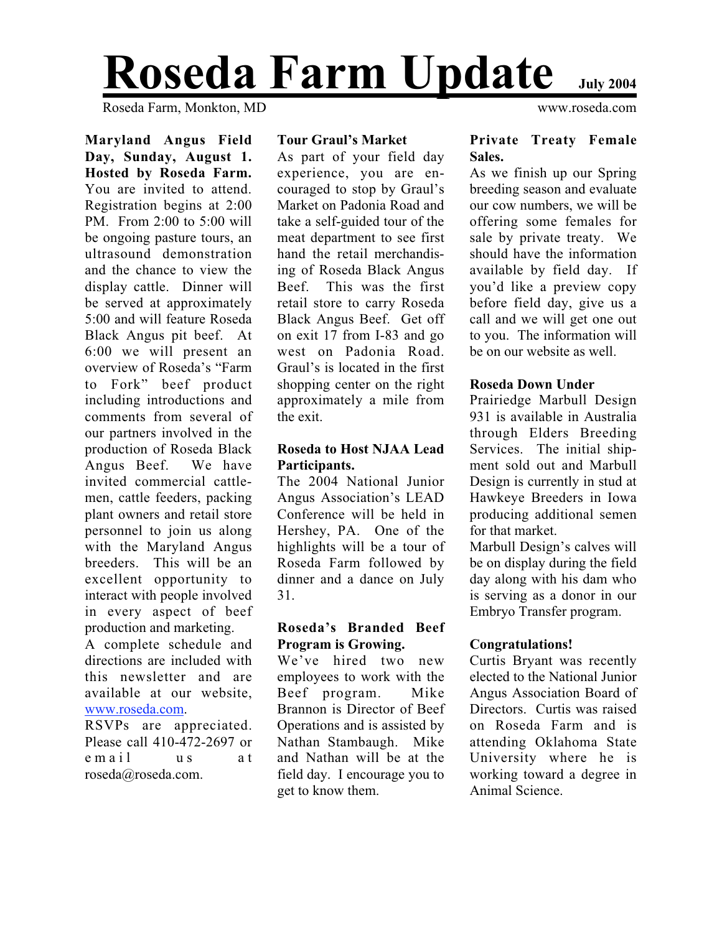# **Roseda Farm Update July 2004**

Roseda Farm, Monkton, MD www.roseda.com

**Maryland Angus Field Day, Sunday, August 1. Hosted by Roseda Farm.** You are invited to attend. Registration begins at 2:00 PM. From 2:00 to 5:00 will be ongoing pasture tours, an ultrasound demonstration and the chance to view the display cattle. Dinner will be served at approximately 5:00 and will feature Roseda Black Angus pit beef. At 6:00 we will present an overview of Roseda's "Farm to Fork" beef product including introductions and comments from several of our partners involved in the production of Roseda Black Angus Beef. We have invited commercial cattlemen, cattle feeders, packing plant owners and retail store personnel to join us along with the Maryland Angus breeders. This will be an excellent opportunity to interact with people involved in every aspect of beef production and marketing. A complete schedule and directions are included with this newsletter and are available at our website, www.roseda.com.

RSVPs are appreciated. Please call 410-472-2697 or email us at roseda@roseda.com.

#### **Tour Graul's Market**

As part of your field day experience, you are encouraged to stop by Graul's Market on Padonia Road and take a self-guided tour of the meat department to see first hand the retail merchandising of Roseda Black Angus Beef. This was the first retail store to carry Roseda Black Angus Beef. Get off on exit 17 from I-83 and go west on Padonia Road. Graul's is located in the first shopping center on the right approximately a mile from the exit.

### **Roseda to Host NJAA Lead Participants.**

The 2004 National Junior Angus Association's LEAD Conference will be held in Hershey, PA. One of the highlights will be a tour of Roseda Farm followed by dinner and a dance on July 31.

### **Roseda's Branded Beef Program is Growing.**

We've hired two new employees to work with the Beef program. Mike Brannon is Director of Beef Operations and is assisted by Nathan Stambaugh. Mike and Nathan will be at the field day. I encourage you to get to know them.

### **Private Treaty Female Sales.**

As we finish up our Spring breeding season and evaluate our cow numbers, we will be offering some females for sale by private treaty. We should have the information available by field day. If you'd like a preview copy before field day, give us a call and we will get one out to you. The information will be on our website as well.

### **Roseda Down Under**

Prairiedge Marbull Design 931 is available in Australia through Elders Breeding Services. The initial shipment sold out and Marbull Design is currently in stud at Hawkeye Breeders in Iowa producing additional semen for that market.

Marbull Design's calves will be on display during the field day along with his dam who is serving as a donor in our Embryo Transfer program.

### **Congratulations!**

Curtis Bryant was recently elected to the National Junior Angus Association Board of Directors. Curtis was raised on Roseda Farm and is attending Oklahoma State University where he is working toward a degree in Animal Science.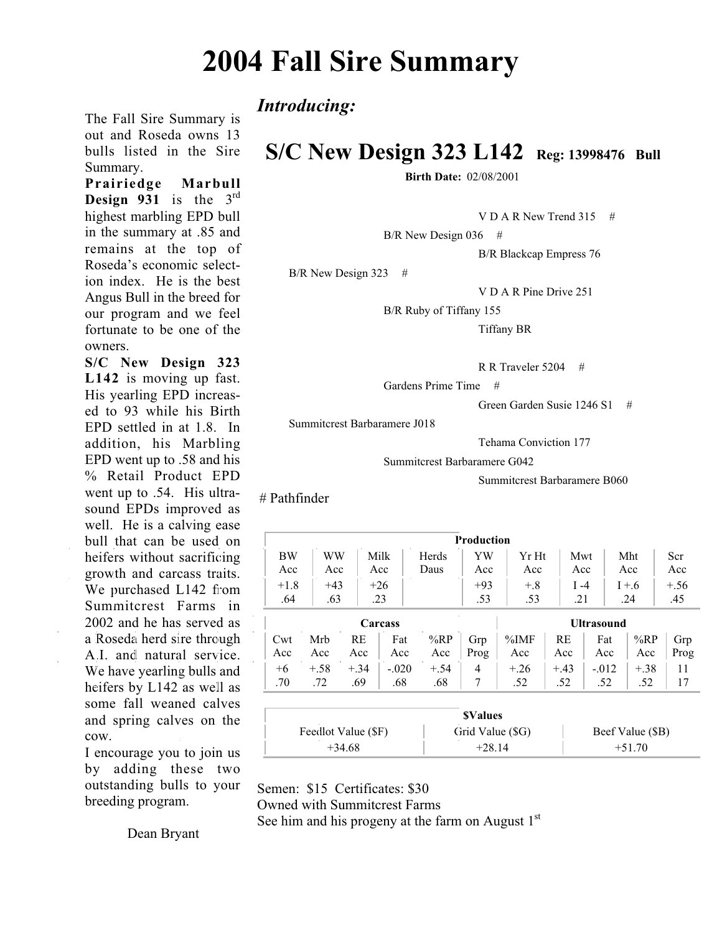### **2004 Fall Sire Summary**

*Introducing:*

### **S/C New Design 323 L142 Reg: 13998476 Bull**

**Birth Date:** 02/08/2001

V D A R New Trend 315  $\#$ 

 $B/R$  New Design 036 #

B/R Blackcap Empress 76

B/R New Design 323 #

V D A R Pine Drive 251

B/R Ruby of Tiffany 155

Tiffany BR

R R Traveler 5204 #

Gardens Prime Time #

Green Garden Susie 1246 S1 #

Summitcrest Barbaramere J018

Tehama Conviction 177

Summitcrest Barbaramere G042

Summitcrest Barbaramere B060

# Pathfinder

| <b>Production</b>   |           |        |         |        |                  |                   |         |                  |         |        |
|---------------------|-----------|--------|---------|--------|------------------|-------------------|---------|------------------|---------|--------|
| BW                  | <b>WW</b> |        | Milk    | Herds  |                  | Yr Ht             | Mwt     |                  | Mht     | Scr    |
| Acc<br>Acc          |           |        | Acc     | Daus   | Acc              |                   | Acc     |                  | Acc     | Acc    |
| $+43$<br>$+1.8$     |           |        | $+26$   | $+93$  |                  | $+.8$             | $I - 4$ |                  | $I + 6$ | $+.56$ |
| .64                 | .63       |        | .23     |        | .53              | .53               | .21     |                  | .24     | .45    |
| Carcass             |           |        |         |        |                  | <b>Ultrasound</b> |         |                  |         |        |
| Cwt                 | Mrb       | RE     | Fat     | %RP    | Grp              | $\%IMF$           | RE      | Fat              | %RP     | Grp    |
| Acc                 | Acc       | Acc    | Acc     | Acc    | Prog             | Acc               | Acc     | Acc              | Acc     | Prog   |
| $+6$                | $+.58$    | $+.34$ | $-.020$ | $+.54$ | 4                | $+.26$            | $+.43$  | $-.012$          | $+.38$  | 11     |
| .70                 | .72       | .69    | .68     | .68    | 7                | .52               | .52     | .52              | .52     | 17     |
|                     |           |        |         |        |                  |                   |         |                  |         |        |
| <b>SValues</b>      |           |        |         |        |                  |                   |         |                  |         |        |
| Feedlot Value (\$F) |           |        |         |        | Grid Value (\$G) |                   |         | Beef Value (\$B) |         |        |

 $+34.68$   $+28.14$   $+51.70$ 

I encourage you to join us by adding these two outstanding bulls to your breeding program.

cow.

The Fall Sire Summary is out and Roseda owns 13 bulls listed in the Sire

**Prairiedge Marbull Design 931** is the 3rd highest marbling EPD bull in the summary at .85 and remains at the top of Roseda's economic selection index. He is the best Angus Bull in the breed for our program and we feel fortunate to be one of the

**S/C New Design 323 L142** is moving up fast. His yearling EPD increased to 93 while his Birth EPD settled in at 1.8. In addition, his Marbling EPD went up to .58 and his % Retail Product EPD went up to .54. His ultrasound EPDs improved as well. He is a calving ease bull that can be used on heifers without sacrificing growth and carcass traits. We purchased L142 from Summitcrest Farms in 2002 and he has served as a Roseda herd sire through A.I. and natural service. We have yearling bulls and heifers by L142 as well as some fall weaned calves and spring calves on the

Summary.

owners.

Dean Bryant

Semen: \$15 Certificates: \$30 Owned with Summitcrest Farms

See him and his progeny at the farm on August  $1<sup>st</sup>$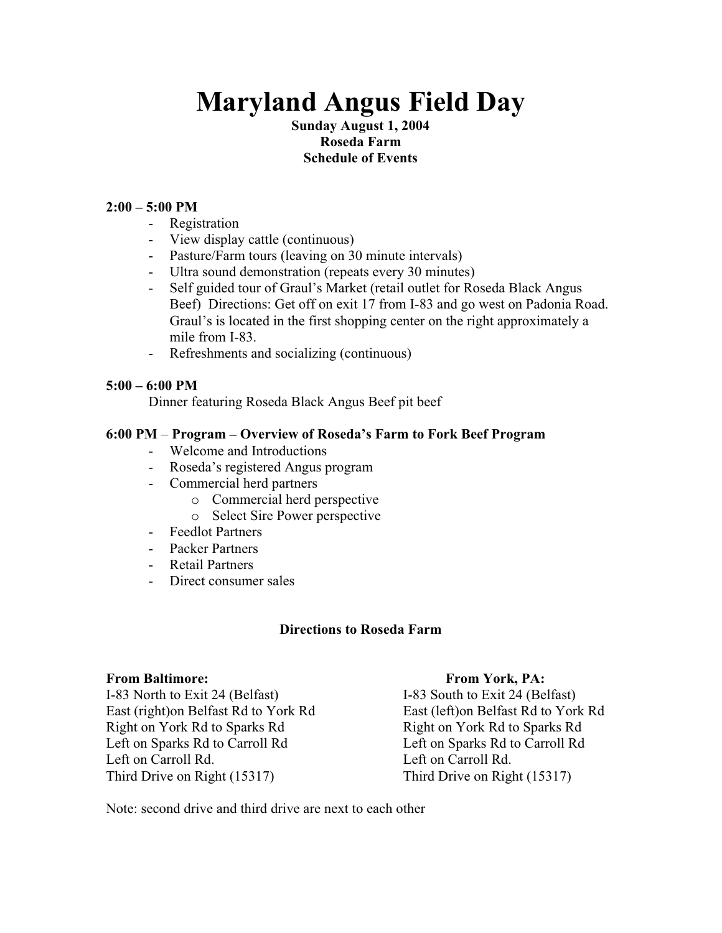## **Maryland Angus Field Day**

### **Sunday August 1, 2004 Roseda Farm Schedule of Events**

### **2:00 – 5:00 PM**

- Registration
- View display cattle (continuous)
- Pasture/Farm tours (leaving on 30 minute intervals)
- Ultra sound demonstration (repeats every 30 minutes)
- Self guided tour of Graul's Market (retail outlet for Roseda Black Angus Beef) Directions: Get off on exit 17 from I-83 and go west on Padonia Road. Graul's is located in the first shopping center on the right approximately a mile from I-83.
- Refreshments and socializing (continuous)

### **5:00 – 6:00 PM**

Dinner featuring Roseda Black Angus Beef pit beef

### **6:00 PM** – **Program – Overview of Roseda's Farm to Fork Beef Program**

- Welcome and Introductions
- Roseda's registered Angus program
- Commercial herd partners
	- o Commercial herd perspective
	- o Select Sire Power perspective
- Feedlot Partners
- Packer Partners
- Retail Partners
- Direct consumer sales

### **Directions to Roseda Farm**

### From Baltimore: From York, PA:

I-83 North to Exit 24 (Belfast) I-83 South to Exit 24 (Belfast) East (right)on Belfast Rd to York Rd East (left)on Belfast Rd to York Rd Right on York Rd to Sparks Rd **Right on York Rd** to Sparks Rd Left on Sparks Rd to Carroll Rd Left on Sparks Rd to Carroll Rd Left on Carroll Rd. Left on Carroll Rd. Third Drive on Right (15317) Third Drive on Right (15317)

Note: second drive and third drive are next to each other